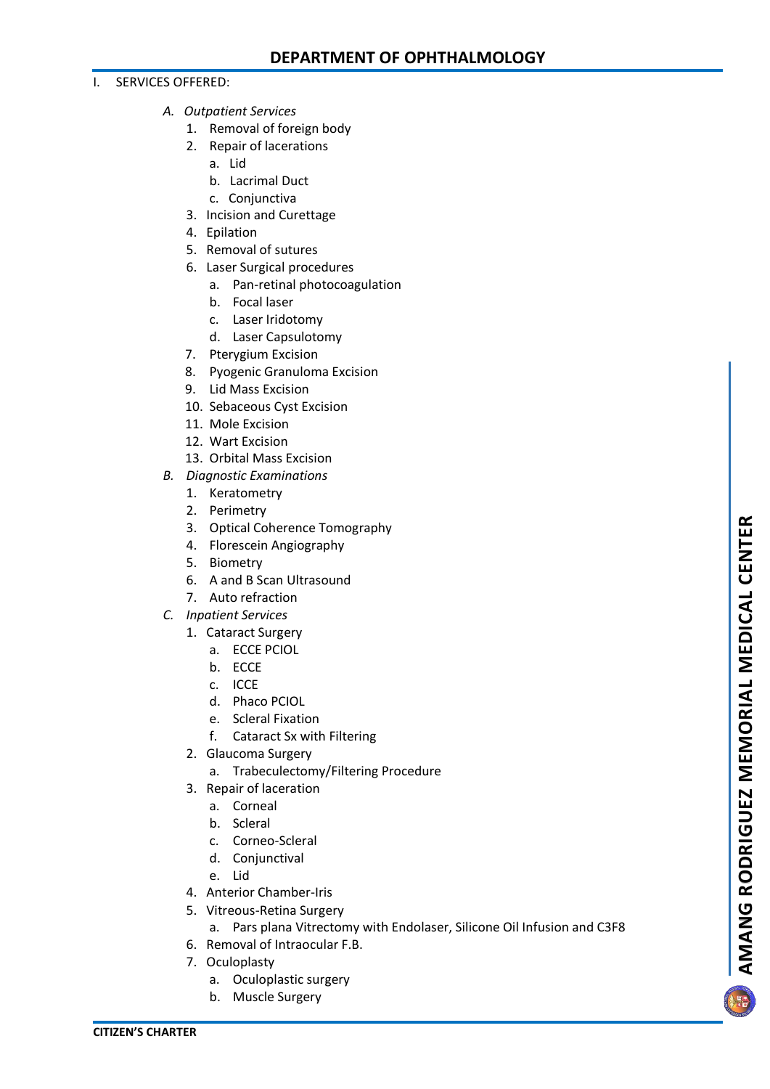## I. SERVICES OFFERED:

- *A. Outpatient Services*
	- 1. Removal of foreign body
	- 2. Repair of lacerations
		- a. Lid
		- b. Lacrimal Duct
		- c. Conjunctiva
	- 3. Incision and Curettage
	- 4. Epilation
	- 5. Removal of sutures
	- 6. Laser Surgical procedures
		- a. Pan-retinal photocoagulation
		- b. Focal laser
		- c. Laser Iridotomy
		- d. Laser Capsulotomy
	- 7. Pterygium Excision
	- 8. Pyogenic Granuloma Excision
	- 9. Lid Mass Excision
	- 10. Sebaceous Cyst Excision
	- 11. Mole Excision
	- 12. Wart Excision
	- 13. Orbital Mass Excision
- *B. Diagnostic Examinations*
	- 1. Keratometry
	- 2. Perimetry
	- 3. Optical Coherence Tomography
	- 4. Florescein Angiography
	- 5. Biometry
	- 6. A and B Scan Ultrasound
	- 7. Auto refraction
- *C. Inpatient Services*
	- 1. Cataract Surgery
		- a. ECCE PCIOL
		- b. ECCE
		- c. ICCE
		- d. Phaco PCIOL
		- e. Scleral Fixation
		- f. Cataract Sx with Filtering
	- 2. Glaucoma Surgery
		- a. Trabeculectomy/Filtering Procedure
	- 3. Repair of laceration
		- a. Corneal
		- b. Scleral
		- c. Corneo-Scleral
		- d. Conjunctival
		- e. Lid
	- 4. Anterior Chamber-Iris
	- 5. Vitreous-Retina Surgery
	- a. Pars plana Vitrectomy with Endolaser, Silicone Oil Infusion and C3F8
	- 6. Removal of Intraocular F.B.
	- 7. Oculoplasty
		- a. Oculoplastic surgery
		- b. Muscle Surgery